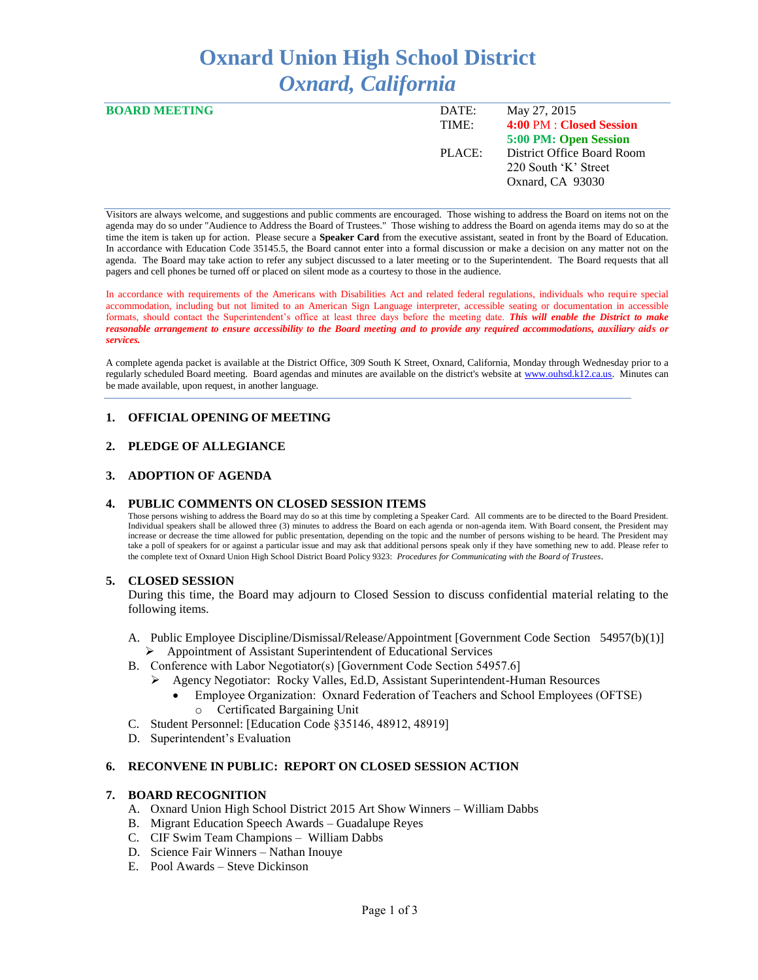# **Oxnard Union High School District** *Oxnard, California*

| <b>BOARD MEETING</b> | DATE:  | May 27, 2015               |
|----------------------|--------|----------------------------|
|                      | TIME:  | 4:00 PM : Closed Session   |
|                      |        | 5:00 PM: Open Session      |
|                      | PLACE: | District Office Board Room |
|                      |        | 220 South 'K' Street       |
|                      |        | Oxnard, CA 93030           |
|                      |        |                            |

Visitors are always welcome, and suggestions and public comments are encouraged. Those wishing to address the Board on items not on the agenda may do so under "Audience to Address the Board of Trustees." Those wishing to address the Board on agenda items may do so at the time the item is taken up for action. Please secure a **Speaker Card** from the executive assistant, seated in front by the Board of Education. In accordance with Education Code 35145.5, the Board cannot enter into a formal discussion or make a decision on any matter not on the agenda. The Board may take action to refer any subject discussed to a later meeting or to the Superintendent. The Board requests that all pagers and cell phones be turned off or placed on silent mode as a courtesy to those in the audience.

In accordance with requirements of the Americans with Disabilities Act and related federal regulations, individuals who require special accommodation, including but not limited to an American Sign Language interpreter, accessible seating or documentation in accessible formats, should contact the Superintendent's office at least three days before the meeting date. *This will enable the District to make reasonable arrangement to ensure accessibility to the Board meeting and to provide any required accommodations, auxiliary aids or services.* 

A complete agenda packet is available at the District Office, 309 South K Street, Oxnard, California, Monday through Wednesday prior to a regularly scheduled Board meeting. Board agendas and minutes are available on the district's website a[t www.ouhsd.k12.ca.us.](http://www.ouhsd.k12.ca.us/)Minutes can be made available, upon request, in another language.

# **1. OFFICIAL OPENING OF MEETING**

# **2. PLEDGE OF ALLEGIANCE**

# **3. ADOPTION OF AGENDA**

#### **4. PUBLIC COMMENTS ON CLOSED SESSION ITEMS**

Those persons wishing to address the Board may do so at this time by completing a Speaker Card. All comments are to be directed to the Board President. Individual speakers shall be allowed three (3) minutes to address the Board on each agenda or non-agenda item. With Board consent, the President may increase or decrease the time allowed for public presentation, depending on the topic and the number of persons wishing to be heard. The President may take a poll of speakers for or against a particular issue and may ask that additional persons speak only if they have something new to add. Please refer to the complete text of Oxnard Union High School District Board Policy 9323: *Procedures for Communicating with the Board of Trustees*.

#### **5. CLOSED SESSION**

During this time, the Board may adjourn to Closed Session to discuss confidential material relating to the following items.

- A. Public Employee Discipline/Dismissal/Release/Appointment [Government Code Section 54957(b)(1)] Appointment of Assistant Superintendent of Educational Services
- B. Conference with Labor Negotiator(s) [Government Code Section 54957.6]
	- Agency Negotiator: Rocky Valles, Ed.D, Assistant Superintendent-Human Resources
		- Employee Organization: Oxnard Federation of Teachers and School Employees (OFTSE) o Certificated Bargaining Unit
- C. Student Personnel: [Education Code §35146, 48912, 48919]
- D. Superintendent's Evaluation

#### **6. RECONVENE IN PUBLIC: REPORT ON CLOSED SESSION ACTION**

#### **7. BOARD RECOGNITION**

- A. Oxnard Union High School District 2015 Art Show Winners William Dabbs
- B. Migrant Education Speech Awards Guadalupe Reyes
- C. CIF Swim Team Champions William Dabbs
- D. Science Fair Winners Nathan Inouye
- E. Pool Awards Steve Dickinson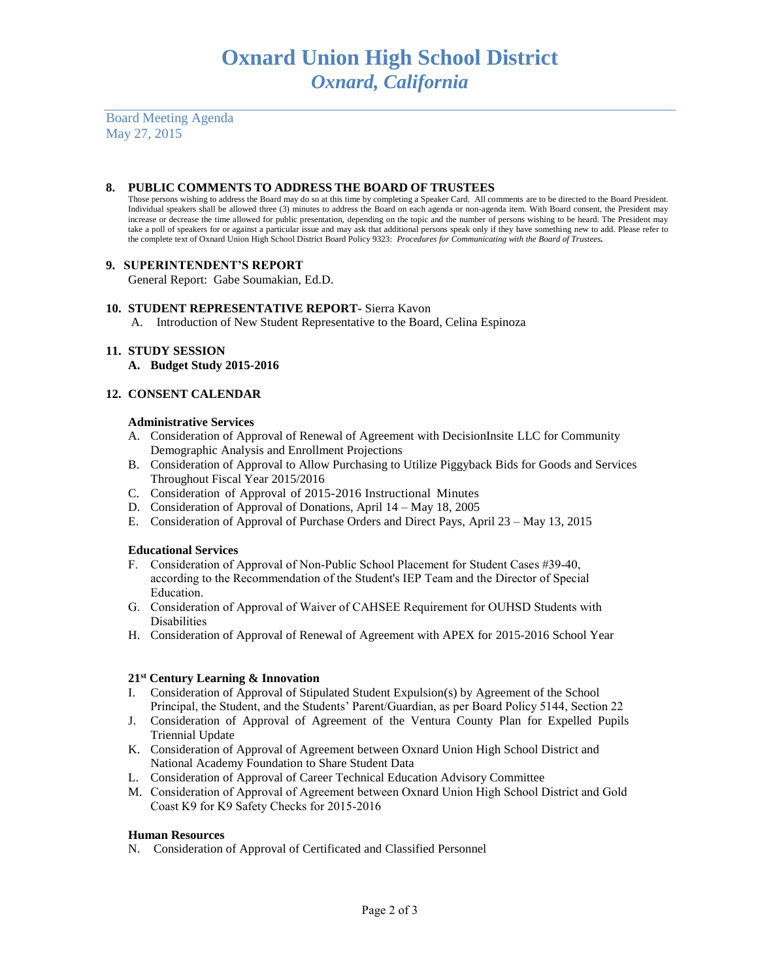Board Meeting Agenda May 27, 2015

## **8. PUBLIC COMMENTS TO ADDRESS THE BOARD OF TRUSTEES**

Those persons wishing to address the Board may do so at this time by completing a Speaker Card. All comments are to be directed to the Board President. Individual speakers shall be allowed three (3) minutes to address the Board on each agenda or non-agenda item. With Board consent, the President may increase or decrease the time allowed for public presentation, depending on the topic and the number of persons wishing to be heard. The President may take a poll of speakers for or against a particular issue and may ask that additional persons speak only if they have something new to add. Please refer to the complete text of Oxnard Union High School District Board Policy 9323: *Procedures for Communicating with the Board of Trustees.*

## **9. SUPERINTENDENT'S REPORT**

General Report: Gabe Soumakian, Ed.D.

## **10. STUDENT REPRESENTATIVE REPORT-** Sierra Kavon

A. Introduction of New Student Representative to the Board, Celina Espinoza

# **11. STUDY SESSION**

**A. Budget Study 2015-2016**

# **12. CONSENT CALENDAR**

## **Administrative Services**

- A. Consideration of Approval of Renewal of Agreement with DecisionInsite LLC for Community Demographic Analysis and Enrollment Projections
- B. Consideration of Approval to Allow Purchasing to Utilize Piggyback Bids for Goods and Services Throughout Fiscal Year 2015/2016
- C. Consideration of Approval of 2015-2016 Instructional Minutes
- D. Consideration of Approval of Donations, April 14 May 18, 2005
- E. Consideration of Approval of Purchase Orders and Direct Pays, April 23 May 13, 2015

# **Educational Services**

- F. Consideration of Approval of Non-Public School Placement for Student Cases #39-40, according to the Recommendation of the Student's IEP Team and the Director of Special Education.
- G. Consideration of Approval of Waiver of CAHSEE Requirement for OUHSD Students with Disabilities
- H. Consideration of Approval of Renewal of Agreement with APEX for 2015-2016 School Year

# **21st Century Learning & Innovation**

- I. Consideration of Approval of Stipulated Student Expulsion(s) by Agreement of the School Principal, the Student, and the Students' Parent/Guardian, as per Board Policy 5144, Section 22
- J. Consideration of Approval of Agreement of the Ventura County Plan for Expelled Pupils Triennial Update
- K. Consideration of Approval of Agreement between Oxnard Union High School District and National Academy Foundation to Share Student Data
- L. Consideration of Approval of Career Technical Education Advisory Committee
- M. Consideration of Approval of Agreement between Oxnard Union High School District and Gold Coast K9 for K9 Safety Checks for 2015-2016

#### **Human Resources**

N. Consideration of Approval of Certificated and Classified Personnel